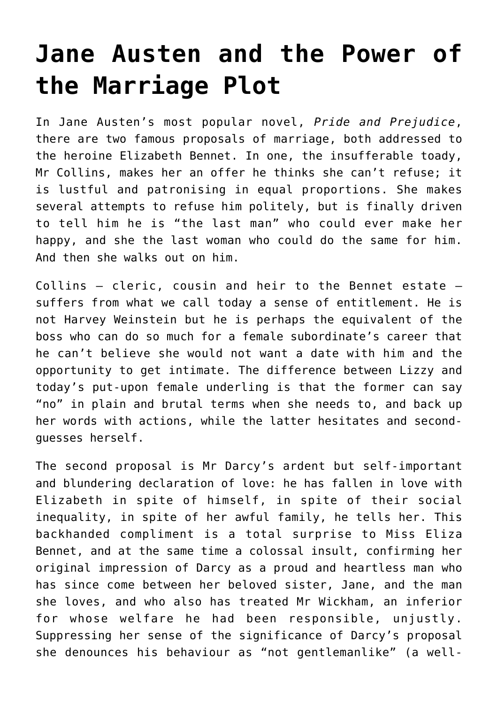## **[Jane Austen and the Power of](https://intellectualtakeout.org/2018/03/jane-austen-and-the-power-of-the-marriage-plot/) [the Marriage Plot](https://intellectualtakeout.org/2018/03/jane-austen-and-the-power-of-the-marriage-plot/)**

In Jane Austen's most popular novel, *Pride and Prejudice*, there are two famous proposals of marriage, both addressed to the heroine Elizabeth Bennet. In one, the insufferable toady, Mr Collins, makes her an offer he thinks she can't refuse; it is lustful and patronising in equal proportions. She makes several attempts to refuse him politely, but is finally driven to tell him he is "the last man" who could ever make her happy, and she the last woman who could do the same for him. And then she walks out on him.

Collins — cleric, cousin and heir to the Bennet estate suffers from what we call today a sense of entitlement. He is not Harvey Weinstein but he is perhaps the equivalent of the boss who can do so much for a female subordinate's career that he can't believe she would not want a date with him and the opportunity to get intimate. The difference between Lizzy and today's put-upon female underling is that the former can say "no" in plain and brutal terms when she needs to, and back up her words with actions, while the latter hesitates and secondguesses herself.

The second proposal is Mr Darcy's ardent but self-important and blundering declaration of love: he has fallen in love with Elizabeth in spite of himself, in spite of their social inequality, in spite of her awful family, he tells her. This backhanded compliment is a total surprise to Miss Eliza Bennet, and at the same time a colossal insult, confirming her original impression of Darcy as a proud and heartless man who has since come between her beloved sister, Jane, and the man she loves, and who also has treated Mr Wickham, an inferior for whose welfare he had been responsible, unjustly. Suppressing her sense of the significance of Darcy's proposal she denounces his behaviour as "not gentlemanlike" (a well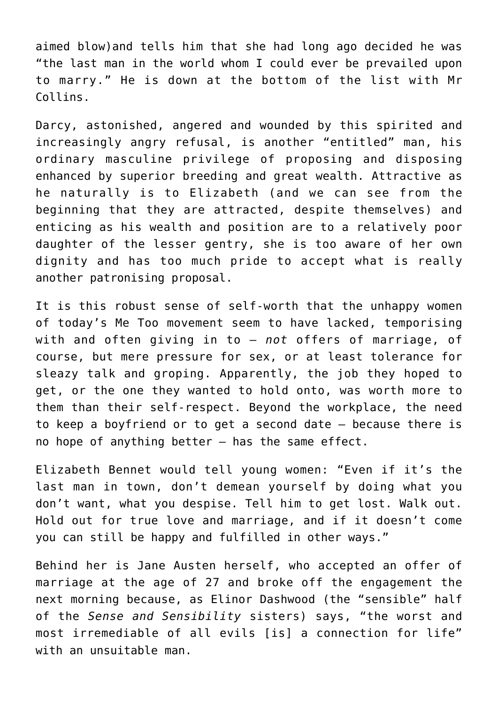aimed blow)and tells him that she had long ago decided he was "the last man in the world whom I could ever be prevailed upon to marry." He is down at the bottom of the list with Mr Collins.

Darcy, astonished, angered and wounded by this spirited and increasingly angry refusal, is another "entitled" man, his ordinary masculine privilege of proposing and disposing enhanced by superior breeding and great wealth. Attractive as he naturally is to Elizabeth (and we can see from the beginning that they are attracted, despite themselves) and enticing as his wealth and position are to a relatively poor daughter of the lesser gentry, she is too aware of her own dignity and has too much pride to accept what is really another patronising proposal.

It is this robust sense of self-worth that the unhappy women of today's Me Too movement seem to have lacked, temporising with and often giving in to – *not* offers of marriage, of course, but mere pressure for sex, or at least tolerance for sleazy talk and groping. Apparently, the job they hoped to get, or the one they wanted to hold onto, was worth more to them than their self-respect. Beyond the workplace, the need to keep a boyfriend or to get a second date – because there is no hope of anything better – has the same effect.

Elizabeth Bennet would tell young women: "Even if it's the last man in town, don't demean yourself by doing what you don't want, what you despise. Tell him to get lost. Walk out. Hold out for true love and marriage, and if it doesn't come you can still be happy and fulfilled in other ways."

Behind her is Jane Austen herself, who accepted an offer of marriage at the age of 27 and broke off the engagement the next morning because, as Elinor Dashwood (the "sensible" half of the *Sense and Sensibility* sisters) says, "the worst and most irremediable of all evils [is] a connection for life" with an unsuitable man.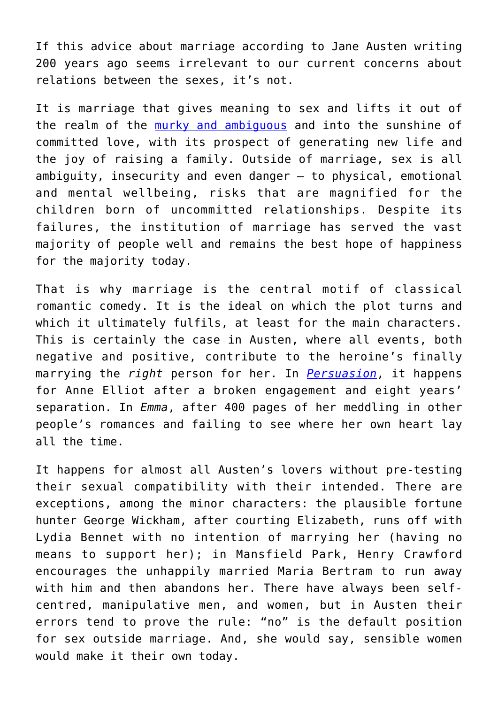If this advice about marriage according to Jane Austen writing 200 years ago seems irrelevant to our current concerns about relations between the sexes, it's not.

It is marriage that gives meaning to sex and lifts it out of the realm of the [murky and ambiguous](https://www.city-journal.org/html/policing-sexual-desire-15669.html) and into the sunshine of committed love, with its prospect of generating new life and the joy of raising a family. Outside of marriage, sex is all ambiguity, insecurity and even danger – to physical, emotional and mental wellbeing, risks that are magnified for the children born of uncommitted relationships. Despite its failures, the institution of marriage has served the vast majority of people well and remains the best hope of happiness for the majority today.

That is why marriage is the central motif of classical romantic comedy. It is the ideal on which the plot turns and which it ultimately fulfils, at least for the main characters. This is certainly the case in Austen, where all events, both negative and positive, contribute to the heroine's finally marrying the *right* person for her. In *[Persuasion](https://www.mercatornet.com/features/view/persuasion-jane-austens-greatest-novel-turns-200/20800)*, it happens for Anne Elliot after a broken engagement and eight years' separation. In *Emma*, after 400 pages of her meddling in other people's romances and failing to see where her own heart lay all the time.

It happens for almost all Austen's lovers without pre-testing their sexual compatibility with their intended. There are exceptions, among the minor characters: the plausible fortune hunter George Wickham, after courting Elizabeth, runs off with Lydia Bennet with no intention of marrying her (having no means to support her); in Mansfield Park, Henry Crawford encourages the unhappily married Maria Bertram to run away with him and then abandons her. There have always been selfcentred, manipulative men, and women, but in Austen their errors tend to prove the rule: "no" is the default position for sex outside marriage. And, she would say, sensible women would make it their own today.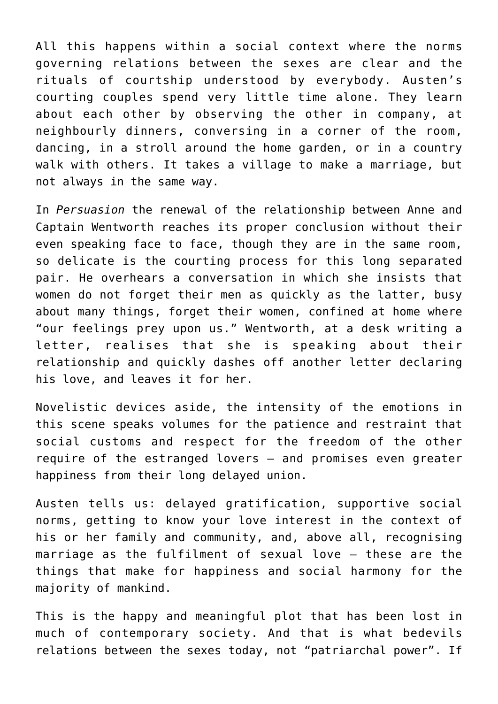All this happens within a social context where the norms governing relations between the sexes are clear and the rituals of courtship understood by everybody. Austen's courting couples spend very little time alone. They learn about each other by observing the other in company, at neighbourly dinners, conversing in a corner of the room, dancing, in a stroll around the home garden, or in a country walk with others. It takes a village to make a marriage, but not always in the same way.

In *Persuasion* the renewal of the relationship between Anne and Captain Wentworth reaches its proper conclusion without their even speaking face to face, though they are in the same room, so delicate is the courting process for this long separated pair. He overhears a conversation in which she insists that women do not forget their men as quickly as the latter, busy about many things, forget their women, confined at home where "our feelings prey upon us." Wentworth, at a desk writing a letter, realises that she is speaking about their relationship and quickly dashes off another letter declaring his love, and leaves it for her.

Novelistic devices aside, the intensity of the emotions in this scene speaks volumes for the patience and restraint that social customs and respect for the freedom of the other require of the estranged lovers – and promises even greater happiness from their long delayed union.

Austen tells us: delayed gratification, supportive social norms, getting to know your love interest in the context of his or her family and community, and, above all, recognising marriage as the fulfilment of sexual love – these are the things that make for happiness and social harmony for the majority of mankind.

This is the happy and meaningful plot that has been lost in much of contemporary society. And that is what bedevils relations between the sexes today, not "patriarchal power". If